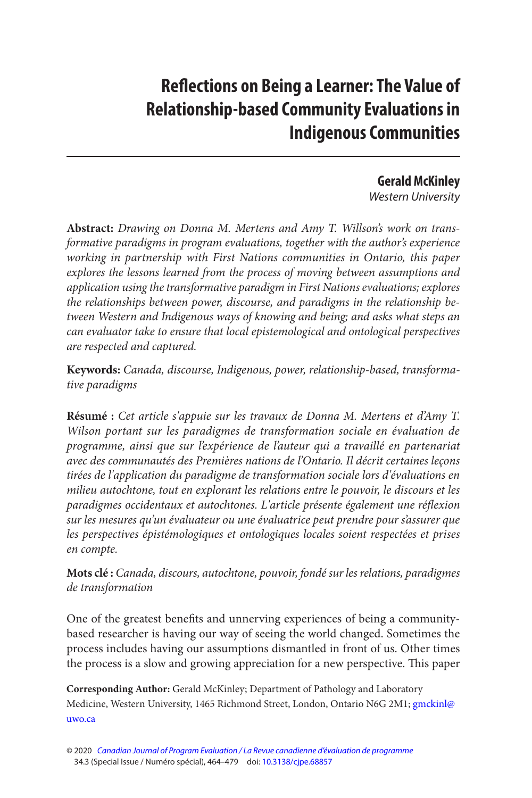# **Reflections on Being a Learner: The Value of Relationship-based Community Evaluations in Indigenous Communities**

# **Gerald McKinley**

Western University

**Abstract:** Drawing on Donna M. Mertens and Amy T. Willson's work on transformative paradigms in program evaluations, together with the author's experience working in partnership with First Nations communities in Ontario, this paper explores the lessons learned from the process of moving between assumptions and application using the transformative paradigm in First Nations evaluations; explores the relationships between power, discourse, and paradigms in the relationship between Western and Indigenous ways of knowing and being; and asks what steps an can evaluator take to ensure that local epistemological and ontological perspectives are respected and captured.

**Keywords:** Canada, discourse, Indigenous, power, relationship-based, transformative paradigms

**Résumé :** Cet article s'appuie sur les travaux de Donna M. Mertens et d'Amy T. Wilson portant sur les paradigmes de transformation sociale en évaluation de programme, ainsi que sur l'expérience de l'auteur qui a travaillé en partenariat avec des communautés des Premières nations de l'Ontario. Il décrit certaines leçons tirées de l'application du paradigme de transformation sociale lors d'évaluations en milieu autochtone, tout en explorant les relations entre le pouvoir, le discours et les paradigmes occidentaux et autochtones. L'article présente également une réflexion sur les mesures qu'un évaluateur ou une évaluatrice peut prendre pour s'assurer que les perspectives épistémologiques et ontologiques locales soient respectées et prises en compte.

**Mots clé :** Canada, discours, autochtone, pouvoir, fondé sur les relations, paradigmes de transformation

One of the greatest benefits and unnerving experiences of being a communitybased researcher is having our way of seeing the world changed. Sometimes the process includes having our assumptions dismantled in front of us. Other times the process is a slow and growing appreciation for a new perspective. This paper

**Corresponding Author:** Gerald McKinley; Department of Pathology and Laboratory Medicine, Western University, 1465 Richmond Street, London, Ontario N6G 2M1; gmckinl@ [uwo.ca](mailto:gmckinl@ uwo.ca) 

<sup>© 2020</sup> [Canadian Journal of Program Evaluation / La Revue canadienne d'évaluation de programme](https://www.utpjournals.press/loi/cjpe)  34.3 (Special Issue / Numéro spécial), 464–479 doi: [10.3138/cjpe.68857](https://doi.org/10.3138/cjpe.68857)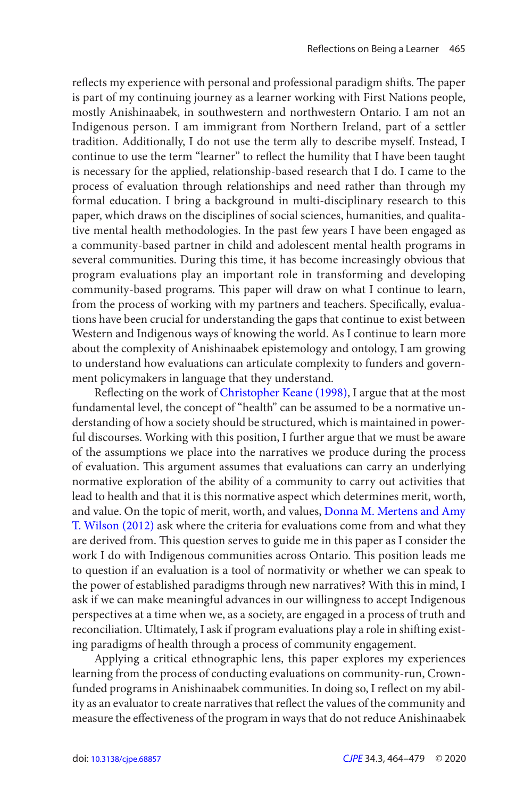<span id="page-1-0"></span>reflects my experience with personal and professional paradigm shifts. The paper is part of my continuing journey as a learner working with First Nations people, mostly Anishinaabek, in southwestern and northwestern Ontario. I am not an Indigenous person. I am immigrant from Northern Ireland, part of a settler tradition. Additionally, I do not use the term ally to describe myself. Instead, I continue to use the term "learner" to reflect the humility that I have been taught is necessary for the applied, relationship-based research that I do. I came to the process of evaluation through relationships and need rather than through my formal education. I bring a background in multi-disciplinary research to this paper, which draws on the disciplines of social sciences, humanities, and qualitative mental health methodologies. In the past few years I have been engaged as a community-based partner in child and adolescent mental health programs in several communities. During this time, it has become increasingly obvious that program evaluations play an important role in transforming and developing community-based programs. This paper will draw on what I continue to learn, from the process of working with my partners and teachers. Specifically, evaluations have been crucial for understanding the gaps that continue to exist between Western and Indigenous ways of knowing the world. As I continue to learn more about the complexity of Anishinaabek epistemology and ontology, I am growing to understand how evaluations can articulate complexity to funders and government policymakers in language that they understand.

and value. On the topic of merit, worth, and values, Donna M. Mertens and Amy Reflecting on the work of Christopher Keane (1998), I argue that at the most fundamental level, the concept of "health" can be assumed to be a normative understanding of how a society should be structured, which is maintained in powerful discourses. Working with this position, I further argue that we must be aware of the assumptions we place into the narratives we produce during the process of evaluation. This argument assumes that evaluations can carry an underlying normative exploration of the ability of a community to carry out activities that lead to health and that it is this normative aspect which determines merit, worth, T. Wilson (2012) ask where the criteria for evaluations come from and what they are derived from. This question serves to guide me in this paper as I consider the work I do with Indigenous communities across Ontario. This position leads me to question if an evaluation is a tool of normativity or whether we can speak to the power of established paradigms through new narratives? With this in mind, I ask if we can make meaningful advances in our willingness to accept Indigenous perspectives at a time when we, as a society, are engaged in a process of truth and reconciliation. Ultimately, I ask if program evaluations play a role in shifting existing paradigms of health through a process of community engagement.

Applying a critical ethnographic lens, this paper explores my experiences learning from the process of conducting evaluations on community-run, Crownfunded programs in Anishinaabek communities. In doing so, I reflect on my ability as an evaluator to create narratives that reflect the values of the community and measure the effectiveness of the program in ways that do not reduce Anishinaabek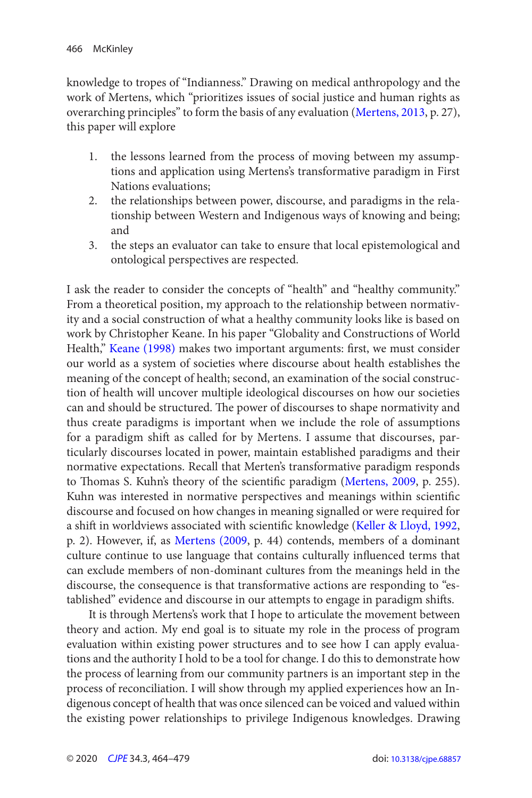<span id="page-2-0"></span>knowledge to tropes of "Indianness." Drawing on medical anthropology and the work of Mertens, which "prioritizes issues of social justice and human rights as overarching principles" to form the basis of any evaluation [\(Mertens, 2013](#page-14-0), p. 27), this paper will explore

- 1. the lessons learned from the process of moving between my assumptions and application using Mertens's transformative paradigm in First Nations evaluations;
- 2. the relationships between power, discourse, and paradigms in the relationship between Western and Indigenous ways of knowing and being; and
- 3. the steps an evaluator can take to ensure that local epistemological and ontological perspectives are respected.

I ask the reader to consider the concepts of "health" and "healthy community." From a theoretical position, my approach to the relationship between normativity and a social construction of what a healthy community looks like is based on work by Christopher Keane. In his paper "Globality and Constructions of World Health," [Keane \(1998\)](#page-14-0) makes two important arguments: first, we must consider our world as a system of societies where discourse about health establishes the meaning of the concept of health; second, an examination of the social construction of health will uncover multiple ideological discourses on how our societies can and should be structured. The power of discourses to shape normativity and thus create paradigms is important when we include the role of assumptions for a paradigm shift as called for by Mertens. I assume that discourses, particularly discourses located in power, maintain established paradigms and their normative expectations. Recall that Merten's transformative paradigm responds to Thomas S. Kuhn's theory of the scientific paradigm ([Mertens, 2009](#page-14-0), p. 255). Kuhn was interested in normative perspectives and meanings within scientific discourse and focused on how changes in meaning signalled or were required for a shift in worldviews associated with scientific knowledge [\(Keller & Lloyd, 1992,](#page-14-0) p. 2). However, if, as [Mertens \(2009,](#page-14-0) p. 44) contends, members of a dominant culture continue to use language that contains culturally influenced terms that can exclude members of non-dominant cultures from the meanings held in the discourse, the consequence is that transformative actions are responding to "established" evidence and discourse in our attempts to engage in paradigm shifts.

It is through Mertens's work that I hope to articulate the movement between theory and action. My end goal is to situate my role in the process of program evaluation within existing power structures and to see how I can apply evaluations and the authority I hold to be a tool for change. I do this to demonstrate how the process of learning from our community partners is an important step in the process of reconciliation. I will show through my applied experiences how an Indigenous concept of health that was once silenced can be voiced and valued within the existing power relationships to privilege Indigenous knowledges. Drawing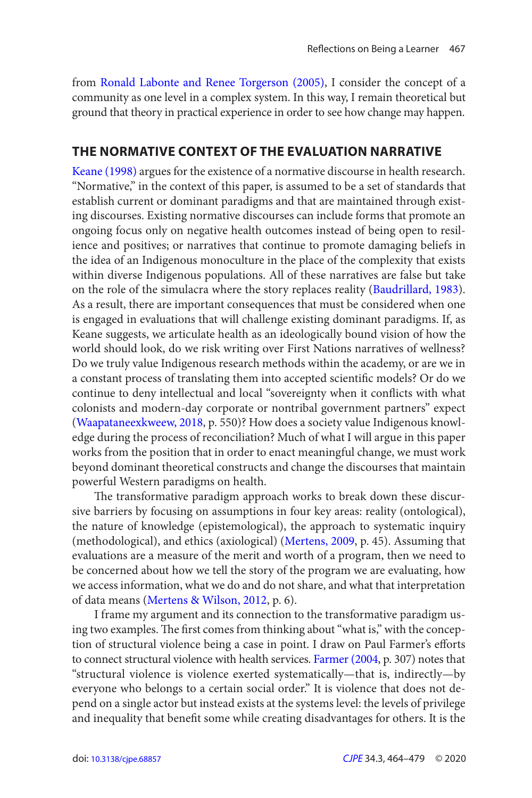<span id="page-3-0"></span>from Ronald Labonte and Renee Torgerson (2005), I consider the concept of a community as one level in a complex system. In this way, I remain theoretical but ground that theory in practical experience in order to see how change may happen.

#### **THE NORMATIVE CONTEXT OF THE EVALUATION NARRATIVE**

Keane (1998) argues for the existence of a normative discourse in health research. "Normative," in the context of this paper, is assumed to be a set of standards that establish current or dominant paradigms and that are maintained through existing discourses. Existing normative discourses can include forms that promote an ongoing focus only on negative health outcomes instead of being open to resilience and positives; or narratives that continue to promote damaging beliefs in the idea of an Indigenous monoculture in the place of the complexity that exists within diverse Indigenous populations. All of these narratives are false but take on the role of the simulacra where the story replaces reality [\(Baudrillard, 1983\)](#page-13-0). As a result, there are important consequences that must be considered when one is engaged in evaluations that will challenge existing dominant paradigms. If, as Keane suggests, we articulate health as an ideologically bound vision of how the world should look, do we risk writing over First Nations narratives of wellness? Do we truly value Indigenous research methods within the academy, or are we in a constant process of translating them into accepted scientific models? Or do we continue to deny intellectual and local "sovereignty when it conflicts with what colonists and modern-day corporate or nontribal government partners" expect [\(Waapataneexkweew, 2018](#page-15-0), p. 550)? How does a society value Indigenous knowledge during the process of reconciliation? Much of what I will argue in this paper works from the position that in order to enact meaningful change, we must work beyond dominant theoretical constructs and change the discourses that maintain powerful Western paradigms on health.

 The transformative paradigm approach works to break down these discursive barriers by focusing on assumptions in four key areas: reality (ontological), the nature of knowledge (epistemological), the approach to systematic inquiry (methodological), and ethics (axiological) ([Mertens, 2009](#page-14-0), p. 45). Assuming that evaluations are a measure of the merit and worth of a program, then we need to be concerned about how we tell the story of the program we are evaluating, how we access information, what we do and do not share, and what that interpretation of data means [\(Mertens & Wilson, 2012,](#page-15-0) p. 6).

I frame my argument and its connection to the transformative paradigm using two examples. The first comes from thinking about "what is," with the conception of structural violence being a case in point. I draw on Paul Farmer's efforts to connect structural violence with health services. [Farmer \(2004,](#page-14-0) p. 307) notes that "structural violence is violence exerted systematically—that is, indirectly—by everyone who belongs to a certain social order." It is violence that does not depend on a single actor but instead exists at the systems level: the levels of privilege and inequality that benefit some while creating disadvantages for others. It is the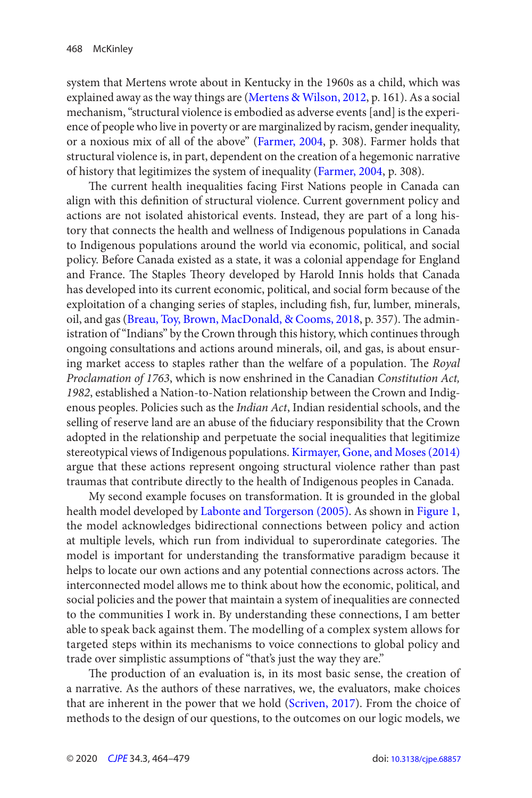<span id="page-4-0"></span>system that Mertens wrote about in Kentucky in the 1960s as a child, which was explained away as the way things are ([Mertens & Wilson, 2012](#page-15-0), p. 161). As a social mechanism, "structural violence is embodied as adverse events [and] is the experience of people who live in poverty or are marginalized by racism, gender inequality, or a noxious mix of all of the above" [\(Farmer, 2004](#page-14-0), p. 308). Farmer holds that structural violence is, in part, dependent on the creation of a hegemonic narrative of history that legitimizes the system of inequality [\(Farmer, 2004,](#page-14-0) p. 308).

 The current health inequalities facing First Nations people in Canada can align with this definition of structural violence. Current government policy and actions are not isolated ahistorical events. Instead, they are part of a long history that connects the health and wellness of Indigenous populations in Canada to Indigenous populations around the world via economic, political, and social policy. Before Canada existed as a state, it was a colonial appendage for England and France. The Staples Theory developed by Harold Innis holds that Canada has developed into its current economic, political, and social form because of the exploitation of a changing series of staples, including fish, fur, lumber, minerals, oil, and gas [\(Breau, Toy, Brown, MacDonald, & Cooms, 2018,](#page-13-0) p. 357). The administration of "Indians" by the Crown through this history, which continues through ongoing consultations and actions around minerals, oil, and gas, is about ensuring market access to staples rather than the welfare of a population. The Royal Proclamation of 1763, which is now enshrined in the Canadian Constitution Act, 1982, established a Nation-to-Nation relationship between the Crown and Indigenous peoples. Policies such as the Indian Act, Indian residential schools, and the selling of reserve land are an abuse of the fiduciary responsibility that the Crown adopted in the relationship and perpetuate the social inequalities that legitimize stereotypical views of Indigenous populations. Kirmayer, Gone, and Moses (2014) argue that these actions represent ongoing structural violence rather than past traumas that contribute directly to the health of Indigenous peoples in Canada.

 able to speak back against them. The modelling of a complex system allows for My second example focuses on transformation. It is grounded in the global health model developed by Labonte and Torgerson (2005). As shown in [Figure 1](#page-5-0), the model acknowledges bidirectional connections between policy and action at multiple levels, which run from individual to superordinate categories. The model is important for understanding the transformative paradigm because it helps to locate our own actions and any potential connections across actors. The interconnected model allows me to think about how the economic, political, and social policies and the power that maintain a system of inequalities are connected to the communities I work in. By understanding these connections, I am better targeted steps within its mechanisms to voice connections to global policy and trade over simplistic assumptions of "that's just the way they are."

 The production of an evaluation is, in its most basic sense, the creation of a narrative. As the authors of these narratives, we, the evaluators, make choices that are inherent in the power that we hold ([Scriven, 2017\)](#page-15-0). From the choice of methods to the design of our questions, to the outcomes on our logic models, we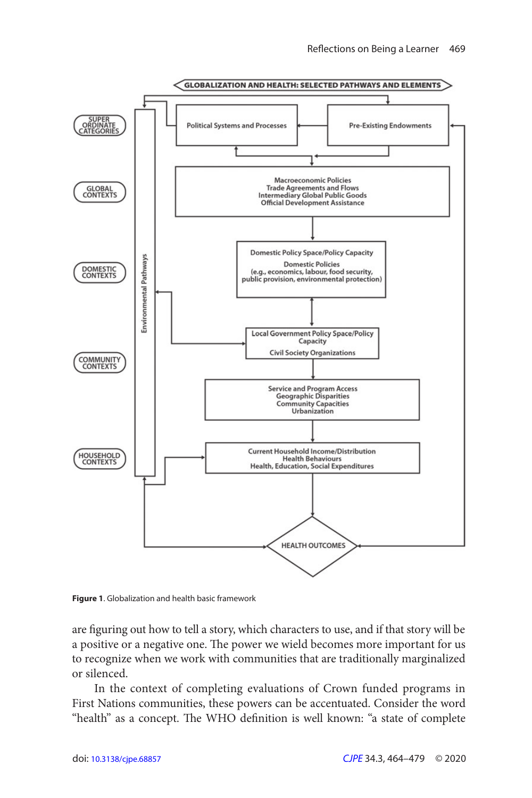<span id="page-5-0"></span>

**Figure 1.** Globalization and health basic framework

are figuring out how to tell a story, which characters to use, and if that story will be a positive or a negative one. The power we wield becomes more important for us to recognize when we work with communities that are traditionally marginalized or silenced.

In the context of completing evaluations of Crown funded programs in First Nations communities, these powers can be accentuated. Consider the word "health" as a concept. The WHO definition is well known: "a state of complete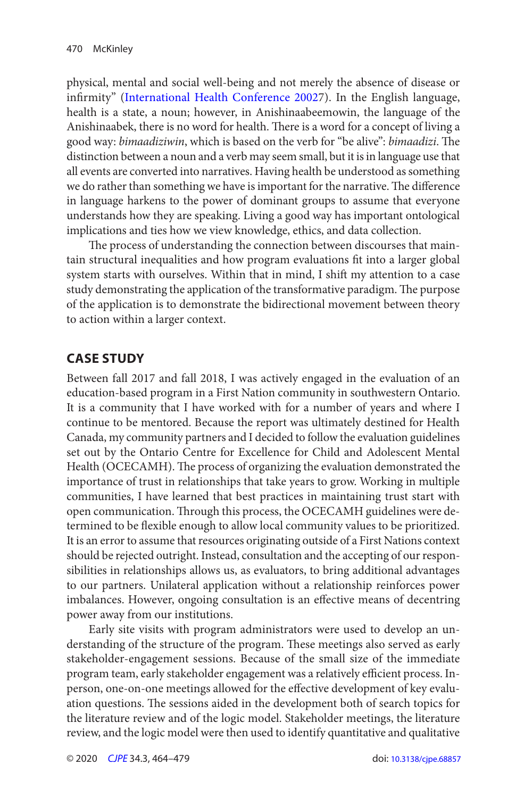<span id="page-6-0"></span>good way: bimaadiziwin, which is based on the verb for "be alive": bimaadizi. The physical, mental and social well-being and not merely the absence of disease or infirmity" [\(International Health Conference 2002](#page-14-0)7). In the English language, health is a state, a noun; however, in Anishinaabeemowin, the language of the Anishinaabek, there is no word for health. There is a word for a concept of living a distinction between a noun and a verb may seem small, but it is in language use that all events are converted into narratives. Having health be understood as something we do rather than something we have is important for the narrative. The difference in language harkens to the power of dominant groups to assume that everyone understands how they are speaking. Living a good way has important ontological implications and ties how we view knowledge, ethics, and data collection.

 The process of understanding the connection between discourses that maintain structural inequalities and how program evaluations fit into a larger global system starts with ourselves. Within that in mind, I shift my attention to a case study demonstrating the application of the transformative paradigm. The purpose of the application is to demonstrate the bidirectional movement between theory to action within a larger context.

## **CASE STUDY**

Between fall 2017 and fall 2018, I was actively engaged in the evaluation of an education-based program in a First Nation community in southwestern Ontario. It is a community that I have worked with for a number of years and where I continue to be mentored. Because the report was ultimately destined for Health Canada, my community partners and I decided to follow the evaluation guidelines set out by the Ontario Centre for Excellence for Child and Adolescent Mental Health (OCECAMH). The process of organizing the evaluation demonstrated the importance of trust in relationships that take years to grow. Working in multiple communities, I have learned that best practices in maintaining trust start with open communication. Through this process, the OCECAMH guidelines were determined to be flexible enough to allow local community values to be prioritized. It is an error to assume that resources originating outside of a First Nations context should be rejected outright. Instead, consultation and the accepting of our responsibilities in relationships allows us, as evaluators, to bring additional advantages to our partners. Unilateral application without a relationship reinforces power imbalances. However, ongoing consultation is an effective means of decentring power away from our institutions.

Early site visits with program administrators were used to develop an understanding of the structure of the program. These meetings also served as early stakeholder-engagement sessions. Because of the small size of the immediate program team, early stakeholder engagement was a relatively efficient process. Inperson, one-on-one meetings allowed for the effective development of key evaluation questions. The sessions aided in the development both of search topics for the literature review and of the logic model. Stakeholder meetings, the literature review, and the logic model were then used to identify quantitative and qualitative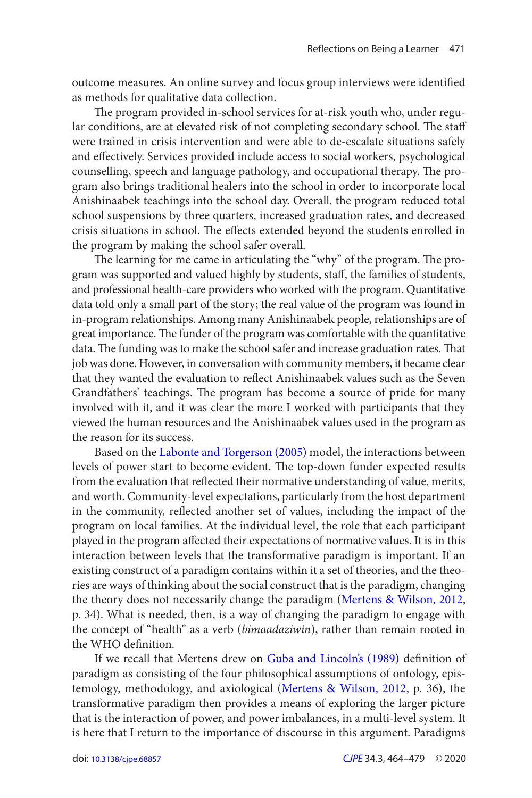<span id="page-7-0"></span>outcome measures. An online survey and focus group interviews were identified as methods for qualitative data collection.

lar conditions, are at elevated risk of not completing secondary school. The staff The program provided in-school services for at-risk youth who, under reguwere trained in crisis intervention and were able to de-escalate situations safely and effectively. Services provided include access to social workers, psychological counselling, speech and language pathology, and occupational therapy. The program also brings traditional healers into the school in order to incorporate local Anishinaabek teachings into the school day. Overall, the program reduced total school suspensions by three quarters, increased graduation rates, and decreased crisis situations in school. The effects extended beyond the students enrolled in the program by making the school safer overall.

The learning for me came in articulating the "why" of the program. The program was supported and valued highly by students, staff, the families of students, and professional health-care providers who worked with the program. Quantitative data told only a small part of the story; the real value of the program was found in in-program relationships. Among many Anishinaabek people, relationships are of great importance. The funder of the program was comfortable with the quantitative data. The funding was to make the school safer and increase graduation rates. That job was done. However, in conversation with community members, it became clear that they wanted the evaluation to reflect Anishinaabek values such as the Seven Grandfathers' teachings. The program has become a source of pride for many involved with it, and it was clear the more I worked with participants that they viewed the human resources and the Anishinaabek values used in the program as the reason for its success.

Based on the Labonte and Torgerson (2005) model, the interactions between levels of power start to become evident. The top-down funder expected results from the evaluation that reflected their normative understanding of value, merits, and worth. Community-level expectations, particularly from the host department in the community, reflected another set of values, including the impact of the program on local families. At the individual level, the role that each participant played in the program affected their expectations of normative values. It is in this interaction between levels that the transformative paradigm is important. If an existing construct of a paradigm contains within it a set of theories, and the theories are ways of thinking about the social construct that is the paradigm, changing the theory does not necessarily change the paradigm ([Mertens & Wilson, 2012](#page-15-0), p. 34). What is needed, then, is a way of changing the paradigm to engage with the concept of "health" as a verb ( bimaadaziwin), rather than remain rooted in the WHO definition.

If we recall that Mertens drew on Guba and Lincoln's (1989) definition of paradigm as consisting of the four philosophical assumptions of ontology, epistemology, methodology, and axiological [\(Mertens & Wilson, 2012](#page-15-0), p. 36), the transformative paradigm then provides a means of exploring the larger picture that is the interaction of power, and power imbalances, in a multi-level system. It is here that I return to the importance of discourse in this argument. Paradigms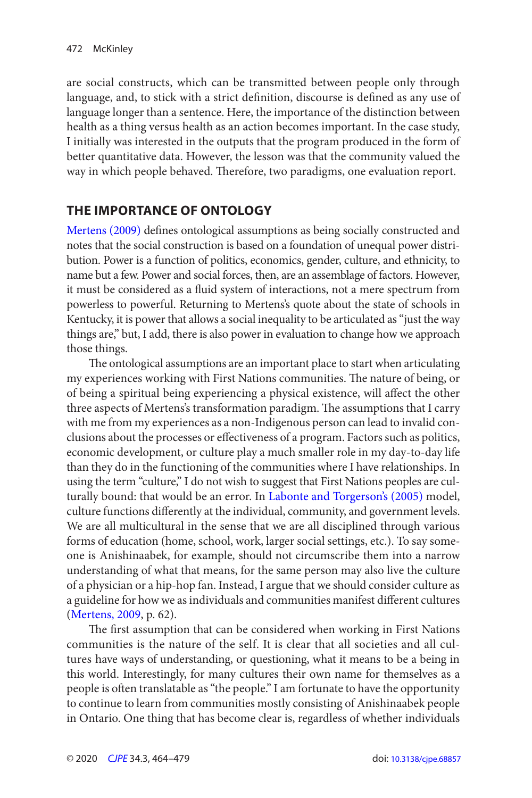are social constructs, which can be transmitted between people only through language, and, to stick with a strict definition, discourse is defined as any use of language longer than a sentence. Here, the importance of the distinction between health as a thing versus health as an action becomes important. In the case study, I initially was interested in the outputs that the program produced in the form of better quantitative data. However, the lesson was that the community valued the way in which people behaved. Therefore, two paradigms, one evaluation report.

# **THE IMPORTANCE OF ONTOLOGY**

Mertens (2009) defines ontological assumptions as being socially constructed and notes that the social construction is based on a foundation of unequal power distribution. Power is a function of politics, economics, gender, culture, and ethnicity, to name but a few. Power and social forces, then, are an assemblage of factors. However, it must be considered as a fluid system of interactions, not a mere spectrum from powerless to powerful. Returning to Mertens's quote about the state of schools in Kentucky, it is power that allows a social inequality to be articulated as "just the way things are," but, I add, there is also power in evaluation to change how we approach those things.

 The ontological assumptions are an important place to start when articulating my experiences working with First Nations communities. The nature of being, or of being a spiritual being experiencing a physical existence, will affect the other three aspects of Mertens's transformation paradigm. The assumptions that I carry with me from my experiences as a non-Indigenous person can lead to invalid conclusions about the processes or effectiveness of a program. Factors such as politics, economic development, or culture play a much smaller role in my day-to-day life than they do in the functioning of the communities where I have relationships. In using the term "culture," I do not wish to suggest that First Nations peoples are culturally bound: that would be an error. In [Labonte and Torgerson's \(2005\)](#page-14-0) model, culture functions differently at the individual, community, and government levels. We are all multicultural in the sense that we are all disciplined through various forms of education (home, school, work, larger social settings, etc.). To say someone is Anishinaabek, for example, should not circumscribe them into a narrow understanding of what that means, for the same person may also live the culture of a physician or a hip-hop fan. Instead, I argue that we should consider culture as a guideline for how we as individuals and communities manifest different cultures ([Mertens, 2009](#page-14-0), p. 62).

The first assumption that can be considered when working in First Nations communities is the nature of the self. It is clear that all societies and all cultures have ways of understanding, or questioning, what it means to be a being in this world. Interestingly, for many cultures their own name for themselves as a people is often translatable as "the people." I am fortunate to have the opportunity to continue to learn from communities mostly consisting of Anishinaabek people in Ontario. One thing that has become clear is, regardless of whether individuals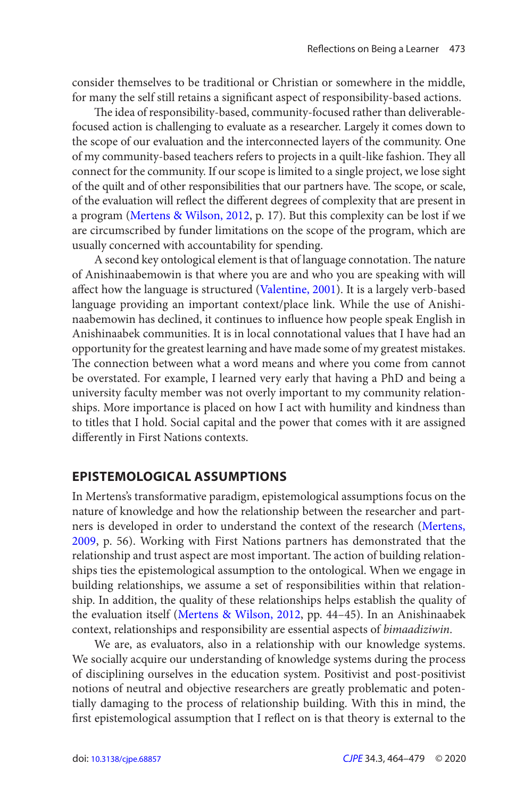<span id="page-9-0"></span>consider themselves to be traditional or Christian or somewhere in the middle, for many the self still retains a significant aspect of responsibility-based actions.

 The idea of responsibility-based, community-focused rather than deliverablefocused action is challenging to evaluate as a researcher. Largely it comes down to the scope of our evaluation and the interconnected layers of the community. One of my community-based teachers refers to projects in a quilt-like fashion. They all connect for the community. If our scope is limited to a single project, we lose sight of the quilt and of other responsibilities that our partners have. The scope, or scale, of the evaluation will reflect the different degrees of complexity that are present in a program [\(Mertens & Wilson, 2012](#page-15-0), p. 17). But this complexity can be lost if we are circumscribed by funder limitations on the scope of the program, which are usually concerned with accountability for spending.

A second key ontological element is that of language connotation. The nature of Anishinaabemowin is that where you are and who you are speaking with will affect how the language is structured ([Valentine, 2001](#page-15-0)). It is a largely verb-based language providing an important context/place link. While the use of Anishinaabemowin has declined, it continues to influence how people speak English in Anishinaabek communities. It is in local connotational values that I have had an opportunity for the greatest learning and have made some of my greatest mistakes. The connection between what a word means and where you come from cannot be overstated. For example, I learned very early that having a PhD and being a university faculty member was not overly important to my community relationships. More importance is placed on how I act with humility and kindness than to titles that I hold. Social capital and the power that comes with it are assigned differently in First Nations contexts.

#### **EPISTEMOLOGICAL ASSUMPTIONS**

In Mertens's transformative paradigm, epistemological assumptions focus on the nature of knowledge and how the relationship between the researcher and partners is developed in order to understand the context of the research [\(Mertens,](#page-14-0)  [2009,](#page-14-0) p. 56). Working with First Nations partners has demonstrated that the relationship and trust aspect are most important. The action of building relationships ties the epistemological assumption to the ontological. When we engage in building relationships, we assume a set of responsibilities within that relationship. In addition, the quality of these relationships helps establish the quality of the evaluation itself [\(Mertens & Wilson, 2012,](#page-15-0) pp. 44–45). In an Anishinaabek context, relationships and responsibility are essential aspects of bimaadiziwin.

We are, as evaluators, also in a relationship with our knowledge systems. We socially acquire our understanding of knowledge systems during the process of disciplining ourselves in the education system. Positivist and post-positivist notions of neutral and objective researchers are greatly problematic and potentially damaging to the process of relationship building. With this in mind, the first epistemological assumption that I reflect on is that theory is external to the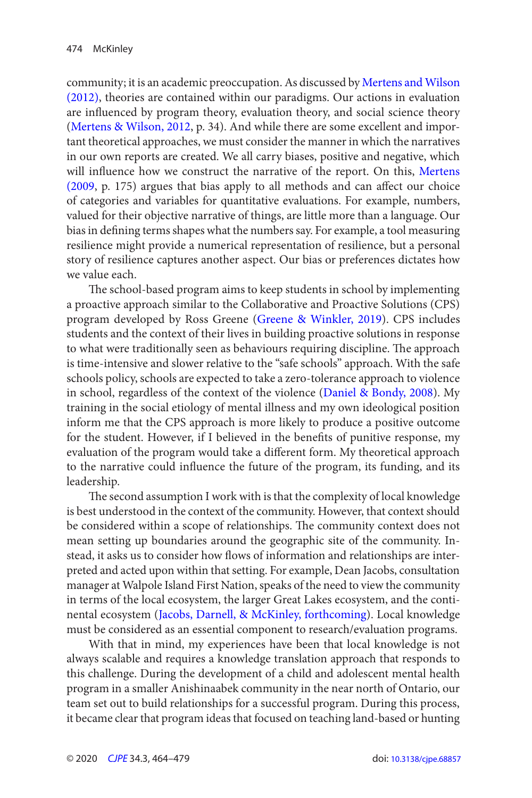<span id="page-10-0"></span>community; it is an academic preoccupation. As discussed by [Mertens and Wilson](#page-15-0)  [\(2012\)](#page-15-0), theories are contained within our paradigms. Our actions in evaluation are influenced by program theory, evaluation theory, and social science theory [\(Mertens & Wilson, 2012,](#page-15-0) p. 34). And while there are some excellent and important theoretical approaches, we must consider the manner in which the narratives in our own reports are created. We all carry biases, positive and negative, which will influence how we construct the narrative of the report. On this, [Mertens](#page-14-0)   $(2009, p. 175)$  $(2009, p. 175)$  argues that bias apply to all methods and can affect our choice of categories and variables for quantitative evaluations. For example, numbers, valued for their objective narrative of things, are little more than a language. Our bias in defining terms shapes what the numbers say. For example, a tool measuring resilience might provide a numerical representation of resilience, but a personal story of resilience captures another aspect. Our bias or preferences dictates how we value each.

 in school, regardless of the context of the violence [\(Daniel & Bondy, 2008\)](#page-14-0). My The school-based program aims to keep students in school by implementing a proactive approach similar to the Collaborative and Proactive Solutions (CPS) program developed by Ross Greene ([Greene & Winkler, 2019](#page-14-0)). CPS includes students and the context of their lives in building proactive solutions in response to what were traditionally seen as behaviours requiring discipline. The approach is time-intensive and slower relative to the "safe schools" approach. With the safe schools policy, schools are expected to take a zero-tolerance approach to violence training in the social etiology of mental illness and my own ideological position inform me that the CPS approach is more likely to produce a positive outcome for the student. However, if I believed in the benefits of punitive response, my evaluation of the program would take a different form. My theoretical approach to the narrative could influence the future of the program, its funding, and its leadership.

 The second assumption I work with is that the complexity of local knowledge is best understood in the context of the community. However, that context should be considered within a scope of relationships. The community context does not mean setting up boundaries around the geographic site of the community. Instead, it asks us to consider how flows of information and relationships are interpreted and acted upon within that setting. For example, Dean Jacobs, consultation manager at Walpole Island First Nation, speaks of the need to view the community in terms of the local ecosystem, the larger Great Lakes ecosystem, and the continental ecosystem ([Jacobs, Darnell, & McKinley, forthcoming\)](#page-14-0). Local knowledge must be considered as an essential component to research/evaluation programs.

With that in mind, my experiences have been that local knowledge is not always scalable and requires a knowledge translation approach that responds to this challenge. During the development of a child and adolescent mental health program in a smaller Anishinaabek community in the near north of Ontario, our team set out to build relationships for a successful program. During this process, it became clear that program ideas that focused on teaching land-based or hunting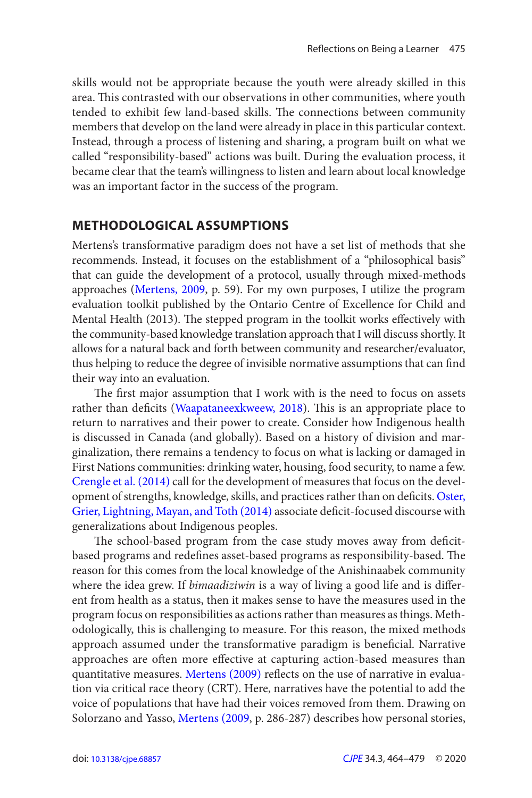<span id="page-11-0"></span>skills would not be appropriate because the youth were already skilled in this area. This contrasted with our observations in other communities, where youth tended to exhibit few land-based skills. The connections between community members that develop on the land were already in place in this particular context. Instead, through a process of listening and sharing, a program built on what we called "responsibility-based" actions was built. During the evaluation process, it became clear that the team's willingness to listen and learn about local knowledge was an important factor in the success of the program.

#### **METHODOLOGICAL ASSUMPTIONS**

Mertens's transformative paradigm does not have a set list of methods that she recommends. Instead, it focuses on the establishment of a "philosophical basis" that can guide the development of a protocol, usually through mixed-methods approaches [\(Mertens, 2009](#page-14-0), p. 59). For my own purposes, I utilize the program evaluation toolkit published by the Ontario Centre of Excellence for Child and Mental Health (2013). The stepped program in the toolkit works effectively with the community-based knowledge translation approach that I will discuss shortly. It allows for a natural back and forth between community and researcher/evaluator, thus helping to reduce the degree of invisible normative assumptions that can find their way into an evaluation.

opment of strengths, knowledge, skills, and practices rather than on deficits. Oster, The first major assumption that I work with is the need to focus on assets rather than deficits [\(Waapataneexkweew, 2018](#page-15-0)). This is an appropriate place to return to narratives and their power to create. Consider how Indigenous health is discussed in Canada (and globally). Based on a history of division and marginalization, there remains a tendency to focus on what is lacking or damaged in First Nations communities: drinking water, housing, food security, to name a few. Crengle et al. (2014) call for the development of measures that focus on the devel-[Grier, Lightning, Mayan, and Toth \(2014 \)](#page-15-0) associate deficit-focused discourse with generalizations about Indigenous peoples.

where the idea grew. If bimaadiziwin is a way of living a good life and is differ-The school-based program from the case study moves away from deficitbased programs and redefines asset-based programs as responsibility-based. The reason for this comes from the local knowledge of the Anishinaabek community ent from health as a status, then it makes sense to have the measures used in the program focus on responsibilities as actions rather than measures as things. Methodologically, this is challenging to measure. For this reason, the mixed methods approach assumed under the transformative paradigm is beneficial. Narrative approaches are often more effective at capturing action-based measures than quantitative measures. [Mertens \(2009\)](#page-14-0) reflects on the use of narrative in evaluation via critical race theory (CRT). Here, narratives have the potential to add the voice of populations that have had their voices removed from them. Drawing on Solorzano and Yasso, [Mertens \(2009](#page-14-0), p. 286-287) describes how personal stories,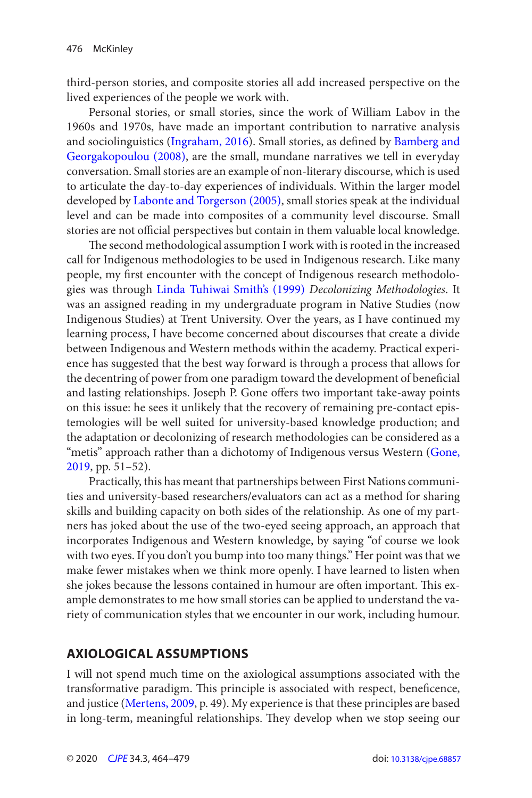<span id="page-12-0"></span>third-person stories, and composite stories all add increased perspective on the lived experiences of the people we work with.

 and sociolinguistics ([Ingraham, 2016\)](#page-14-0). Small stories, as defined by [Bamberg and](#page-13-0)  stories are not official perspectives but contain in them valuable local knowledge. Personal stories, or small stories, since the work of William Labov in the 1960s and 1970s, have made an important contribution to narrative analysis Georgakopoulou (2008), are the small, mundane narratives we tell in everyday conversation. Small stories are an example of non-literary discourse, which is used to articulate the day-to-day experiences of individuals. Within the larger model developed by [Labonte and Torgerson \(2005\)](#page-14-0), small stories speak at the individual level and can be made into composites of a community level discourse. Small

gies was through Linda Tuhiwai Smith's (1999) Decolonizing Methodologies. It The second methodological assumption I work with is rooted in the increased call for Indigenous methodologies to be used in Indigenous research. Like many people, my first encounter with the concept of Indigenous research methodolowas an assigned reading in my undergraduate program in Native Studies (now Indigenous Studies) at Trent University. Over the years, as I have continued my learning process, I have become concerned about discourses that create a divide between Indigenous and Western methods within the academy. Practical experience has suggested that the best way forward is through a process that allows for the decentring of power from one paradigm toward the development of beneficial and lasting relationships. Joseph P. Gone offers two important take-away points on this issue: he sees it unlikely that the recovery of remaining pre-contact epistemologies will be well suited for university-based knowledge production; and the adaptation or decolonizing of research methodologies can be considered as a "metis" approach rather than a dichotomy of Indigenous versus Western (Gone, [2019](#page-14-0), pp. 51–52).

Practically, this has meant that partnerships between First Nations communities and university-based researchers/evaluators can act as a method for sharing skills and building capacity on both sides of the relationship. As one of my partners has joked about the use of the two-eyed seeing approach, an approach that incorporates Indigenous and Western knowledge, by saying "of course we look with two eyes. If you don't you bump into too many things." Her point was that we make fewer mistakes when we think more openly. I have learned to listen when she jokes because the lessons contained in humour are often important. This example demonstrates to me how small stories can be applied to understand the variety of communication styles that we encounter in our work, including humour.

## **AXIOLOGICAL ASSUMPTIONS**

I will not spend much time on the axiological assumptions associated with the transformative paradigm. This principle is associated with respect, beneficence, and justice [\(Mertens, 2009,](#page-14-0) p. 49). My experience is that these principles are based in long-term, meaningful relationships. They develop when we stop seeing our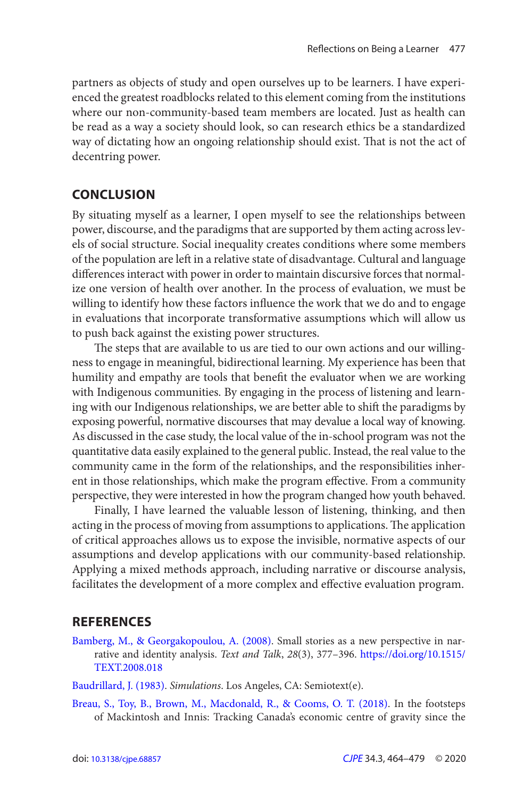<span id="page-13-0"></span>partners as objects of study and open ourselves up to be learners. I have experienced the greatest roadblocks related to this element coming from the institutions where our non-community-based team members are located. Just as health can be read as a way a society should look, so can research ethics be a standardized way of dictating how an ongoing relationship should exist. That is not the act of decentring power.

#### **CONCLUSION**

By situating myself as a learner, I open myself to see the relationships between power, discourse, and the paradigms that are supported by them acting across levels of social structure. Social inequality creates conditions where some members of the population are left in a relative state of disadvantage. Cultural and language differences interact with power in order to maintain discursive forces that normalize one version of health over another. In the process of evaluation, we must be willing to identify how these factors influence the work that we do and to engage in evaluations that incorporate transformative assumptions which will allow us to push back against the existing power structures.

 The steps that are available to us are tied to our own actions and our willingness to engage in meaningful, bidirectional learning. My experience has been that humility and empathy are tools that benefit the evaluator when we are working with Indigenous communities. By engaging in the process of listening and learning with our Indigenous relationships, we are better able to shift the paradigms by exposing powerful, normative discourses that may devalue a local way of knowing. As discussed in the case study, the local value of the in-school program was not the quantitative data easily explained to the general public. Instead, the real value to the community came in the form of the relationships, and the responsibilities inherent in those relationships, which make the program effective. From a community perspective, they were interested in how the program changed how youth behaved.

Finally, I have learned the valuable lesson of listening, thinking, and then acting in the process of moving from assumptions to applications. The application of critical approaches allows us to expose the invisible, normative aspects of our assumptions and develop applications with our community-based relationship. Applying a mixed methods approach, including narrative or discourse analysis, facilitates the development of a more complex and effective evaluation program.

#### **REFERENCES**

- Bamberg, M., & Georgakopoulou, A. (2008). Small stories as a new perspective in narrative and identity analysis. Text and Talk, 28(3), 377–396. https://doi.org/10.1515/ [TEXT.2008.018](https://doi.org/10.1515/TEXT.2008.018)
- Baudrillard, J. (1983). Simulations. Los Angeles, CA: Semiotext(e).
- Breau, S., Toy, B., Brown, M., Macdonald, R., & Cooms, O. T. (2018). In the footsteps of Mackintosh and Innis: Tracking Canada's economic centre of gravity since the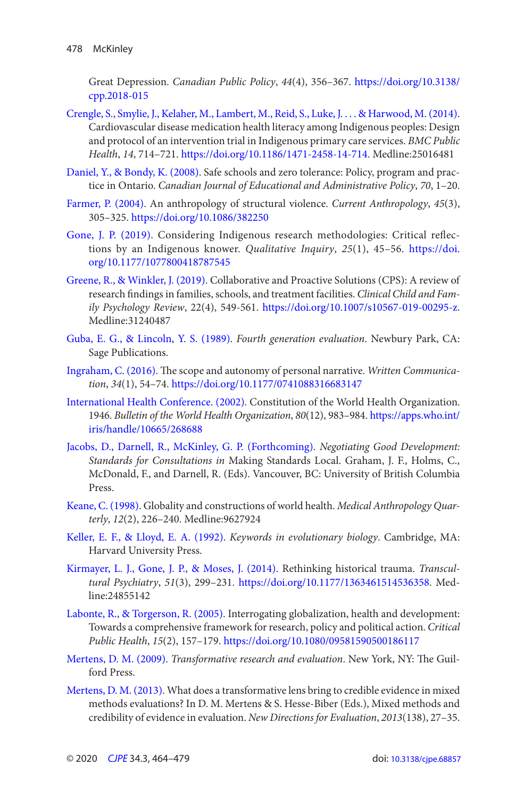<span id="page-14-0"></span>Great Depression. Canadian Public Policy, 44(4), 356-367. https://doi.org/10.3138/ [cpp.2018-015](https://doi.org/10.3138/cpp.2018-015) 

- Health, 14, 714-721. https://doi.org/10.1186/1471-2458-14-714. Medline:25016481 Crengle, S., Smylie, J., Kelaher, M., Lambert, M., Reid, S., Luke, J.... & Harwood, M. (2014). Cardiovascular disease medication health literacy among Indigenous peoples: Design and protocol of an intervention trial in Indigenous primary care services . BMC Public
- Daniel, Y., & Bondy, K. (2008). Safe schools and zero tolerance: Policy, program and practice in Ontario. Canadian Journal of Educational and Administrative Policy, 70, 1-20.
- Farmer, P. (2004). An anthropology of structural violence. Current Anthropology, 45(3), 305 – 325 . <https://doi.org/10.1086/382250>
- tions by an Indigenous knower. Qualitative Inquiry, 25(1), 45-56. https://doi. Gone, J. P. (2019). Considering Indigenous research methodologies: Critical reflec[org/10.1177/1077800418787545](https://doi.org/10.1177/1077800418787545)
- [Greene, R., & Winkler, J. \( 2019 \)](#page-10-0). Collaborative and Proactive Solutions (CPS): A review of research findings in families, schools, and treatment facilities . Clinical Child and Family Psychology Review, 22(4), 549-561.<https://doi.org/10.1007/s10567-019-00295-z>. Medline:31240487
- Sage Publications. Guba, E. G., & Lincoln, Y. S. (1989). Fourth generation evaluation. Newbury Park, CA:
- Ingraham, C. (2016). The scope and autonomy of personal narrative. Written Communication, 34(1), 54-74. https://doi.org/10.1177/0741088316683147
- 1946. Bulletin of the World Health Organization, 80(12), 983-984. https://apps.who.int/ [International Health Conference. \( 2002 \).](#page-6-0) Constitution of the World Health Organization. [iris/handle/10665/268688](https://apps.who.int/iris/handle/10665/268688)
- Standards for Consultations in Making Standards Local. Graham, J. F., Holms, C., Jacobs, D., Darnell, R., McKinley, G. P. (Forthcoming). Negotiating Good Development: McDonald, F., and Darnell, R. (Eds). Vancouver, BC: University of British Columbia Press.
- terly, 12(2), 226-240. Medline:9627924 Keane, C. (1998). Globality and constructions of world health. Medical Anthropology Quar-
- Keller, E. F., & Lloyd, E. A. (1992). *Keywords in evolutionary biology*. Cambridge, MA: Harvard University Press.
- Kirmayer, L. J., Gone, J. P., & Moses, J. (2014). Rethinking historical trauma. *Transcul*tural Psychiatry, 51(3), 299-231. [https://doi.org/10.1177/1363461514536358.](https://doi.org/10.1177/1363461514536358) Medline:24855142
- Public Health, 15(2), 157-179. https://doi.org/10.1080/09581590500186117 Labonte, R., & Torgerson, R. (2005). Interrogating globalization, health and development: Towards a comprehensive framework for research, policy and political action. Critical
- Mertens, D. M. (2009). Transformative research and evaluation. New York, NY: The Guilford Press.
- Mertens, D. M. (2013). What does a transformative lens bring to credible evidence in mixed credibility of evidence in evaluation. New Directions for Evaluation, 2013(138), 27-35. methods evaluations? In D. M. Mertens & S. Hesse-Biber (Eds.), Mixed methods and